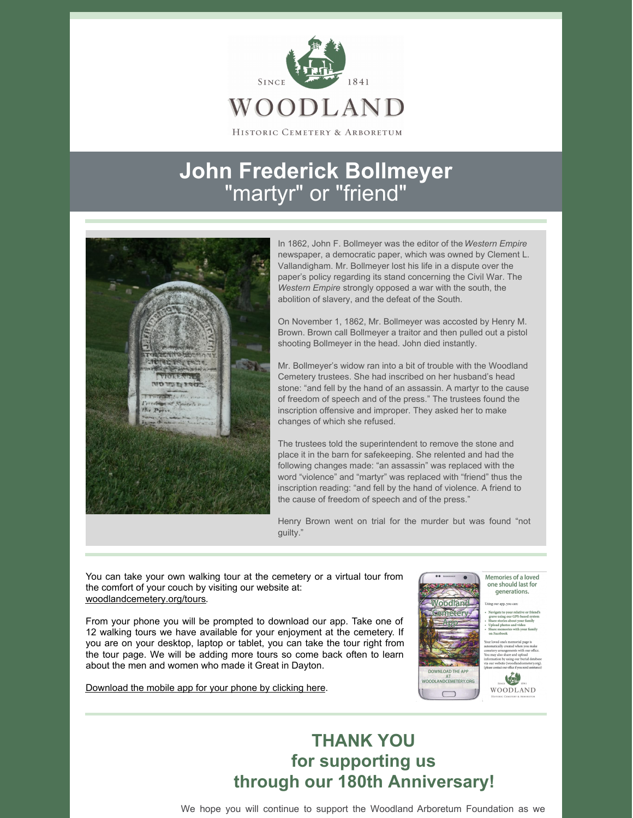

HISTORIC CEMETERY & ARBORETUM

## **John Frederick Bollmeyer** "martyr" or "friend"



In 1862, John F. Bollmeyer was the editor of the *Western Empire* newspaper, a democratic paper, which was owned by Clement L. Vallandigham. Mr. Bollmeyer lost his life in a dispute over the paper's policy regarding its stand concerning the Civil War. The *Western Empire* strongly opposed a war with the south, the abolition of slavery, and the defeat of the South.

On November 1, 1862, Mr. Bollmeyer was accosted by Henry M. Brown. Brown call Bollmeyer a traitor and then pulled out a pistol shooting Bollmeyer in the head. John died instantly.

Mr. Bollmeyer's widow ran into a bit of trouble with the Woodland Cemetery trustees. She had inscribed on her husband's head stone: "and fell by the hand of an assassin. A martyr to the cause of freedom of speech and of the press." The trustees found the inscription offensive and improper. They asked her to make changes of which she refused.

The trustees told the superintendent to remove the stone and place it in the barn for safekeeping. She relented and had the following changes made: "an assassin" was replaced with the word "violence" and "martyr" was replaced with "friend" thus the inscription reading: "and fell by the hand of violence. A friend to the cause of freedom of speech and of the press."

Henry Brown went on trial for the murder but was found "not guilty."

You can take your own walking tour at the cemetery or a virtual tour from the comfort of your couch by visiting our website at: [woodlandcemetery.org/tours](https://woodlandcemetery.org/tours/).

From your phone you will be prompted to download our app. Take one of 12 walking tours we have available for your enjoyment at the cemetery. If you are on your desktop, laptop or tablet, you can take the tour right from the tour page. We will be adding more tours so come back often to learn about the men and women who made it Great in Dayton.

[Download](https://mobile.webcemeteries.com/woodlandcemetery/439) the mobile app for your phone by clicking here.



Memories of a loved one should last for generations.

偏 WOODLAND

## **THANK YOU for supporting us through our 180th Anniversary!**

We hope you will continue to support the Woodland Arboretum Foundation as we